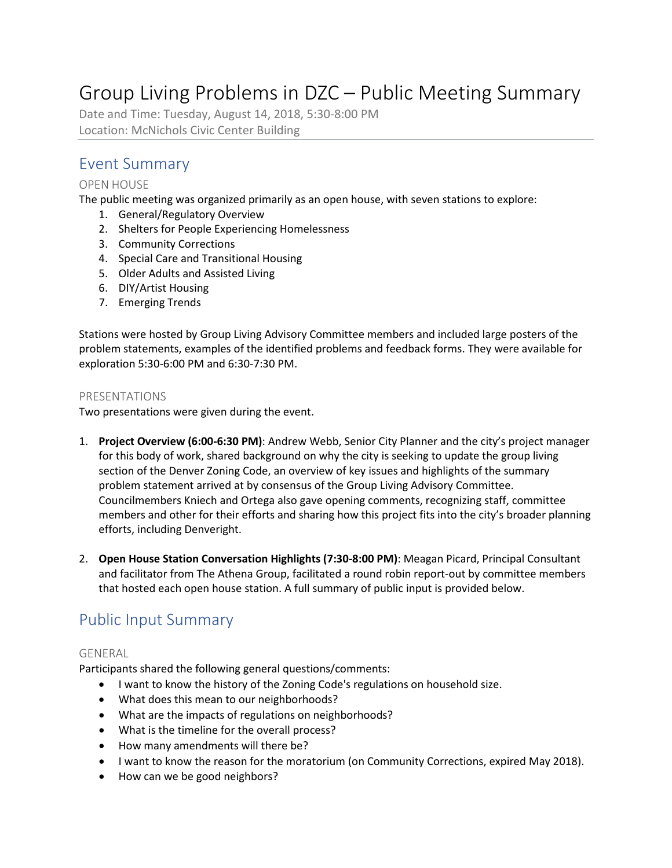# Group Living Problems in DZC – Public Meeting Summary

Date and Time: Tuesday, August 14, 2018, 5:30-8:00 PM Location: McNichols Civic Center Building

# Event Summary

### OPEN HOUSE

The public meeting was organized primarily as an open house, with seven stations to explore:

- 1. General/Regulatory Overview
- 2. Shelters for People Experiencing Homelessness
- 3. Community Corrections
- 4. Special Care and Transitional Housing
- 5. Older Adults and Assisted Living
- 6. DIY/Artist Housing
- 7. Emerging Trends

Stations were hosted by Group Living Advisory Committee members and included large posters of the problem statements, examples of the identified problems and feedback forms. They were available for exploration 5:30-6:00 PM and 6:30-7:30 PM.

#### PRESENTATIONS

Two presentations were given during the event.

- 1. **Project Overview (6:00-6:30 PM)**: Andrew Webb, Senior City Planner and the city's project manager for this body of work, shared background on why the city is seeking to update the group living section of the Denver Zoning Code, an overview of key issues and highlights of the summary problem statement arrived at by consensus of the Group Living Advisory Committee. Councilmembers Kniech and Ortega also gave opening comments, recognizing staff, committee members and other for their efforts and sharing how this project fits into the city's broader planning efforts, including Denveright.
- 2. **Open House Station Conversation Highlights (7:30-8:00 PM)**: Meagan Picard, Principal Consultant and facilitator from The Athena Group, facilitated a round robin report-out by committee members that hosted each open house station. A full summary of public input is provided below.

# Public Input Summary

#### GENERAL

Participants shared the following general questions/comments:

- I want to know the history of the Zoning Code's regulations on household size.
- What does this mean to our neighborhoods?
- What are the impacts of regulations on neighborhoods?
- What is the timeline for the overall process?
- How many amendments will there be?
- I want to know the reason for the moratorium (on Community Corrections, expired May 2018).
- How can we be good neighbors?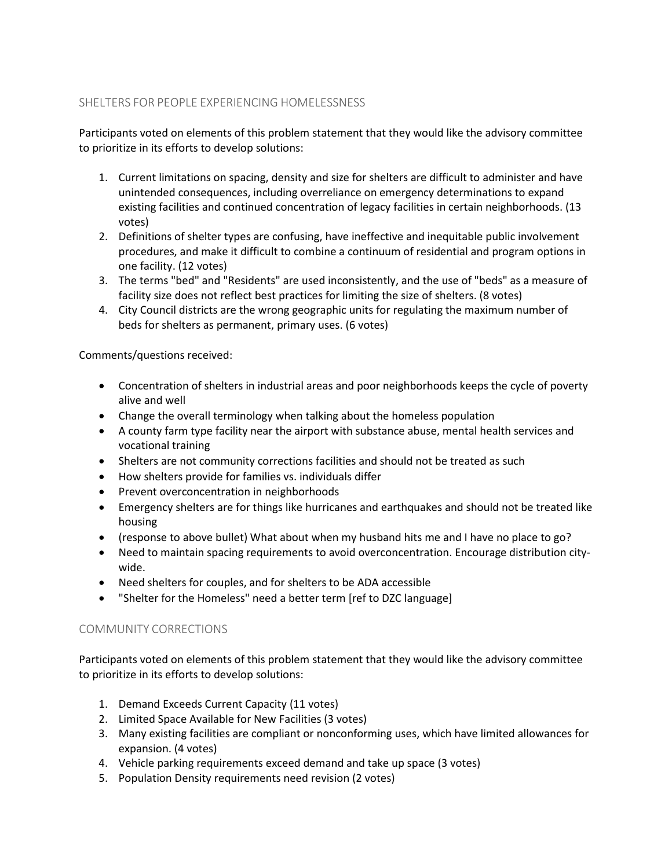## SHELTERS FOR PEOPLE EXPERIENCING HOMELESSNESS

Participants voted on elements of this problem statement that they would like the advisory committee to prioritize in its efforts to develop solutions:

- 1. Current limitations on spacing, density and size for shelters are difficult to administer and have unintended consequences, including overreliance on emergency determinations to expand existing facilities and continued concentration of legacy facilities in certain neighborhoods. (13 votes)
- 2. Definitions of shelter types are confusing, have ineffective and inequitable public involvement procedures, and make it difficult to combine a continuum of residential and program options in one facility. (12 votes)
- 3. The terms "bed" and "Residents" are used inconsistently, and the use of "beds" as a measure of facility size does not reflect best practices for limiting the size of shelters. (8 votes)
- 4. City Council districts are the wrong geographic units for regulating the maximum number of beds for shelters as permanent, primary uses. (6 votes)

Comments/questions received:

- Concentration of shelters in industrial areas and poor neighborhoods keeps the cycle of poverty alive and well
- Change the overall terminology when talking about the homeless population
- A county farm type facility near the airport with substance abuse, mental health services and vocational training
- Shelters are not community corrections facilities and should not be treated as such
- How shelters provide for families vs. individuals differ
- Prevent overconcentration in neighborhoods
- Emergency shelters are for things like hurricanes and earthquakes and should not be treated like housing
- (response to above bullet) What about when my husband hits me and I have no place to go?
- Need to maintain spacing requirements to avoid overconcentration. Encourage distribution citywide.
- Need shelters for couples, and for shelters to be ADA accessible
- "Shelter for the Homeless" need a better term [ref to DZC language]

### COMMUNITY CORRECTIONS

Participants voted on elements of this problem statement that they would like the advisory committee to prioritize in its efforts to develop solutions:

- 1. Demand Exceeds Current Capacity (11 votes)
- 2. Limited Space Available for New Facilities (3 votes)
- 3. Many existing facilities are compliant or nonconforming uses, which have limited allowances for expansion. (4 votes)
- 4. Vehicle parking requirements exceed demand and take up space (3 votes)
- 5. Population Density requirements need revision (2 votes)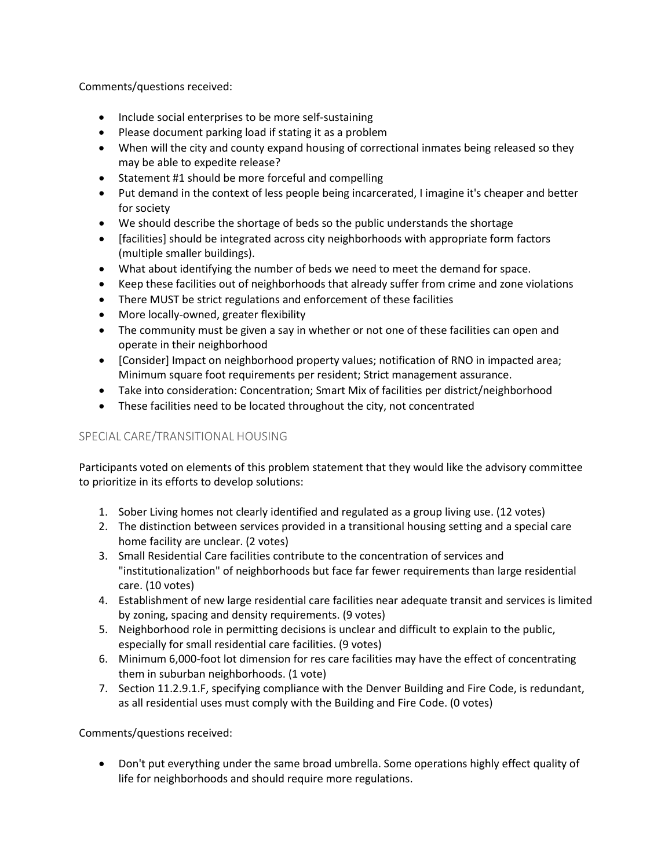Comments/questions received:

- Include social enterprises to be more self-sustaining
- Please document parking load if stating it as a problem
- When will the city and county expand housing of correctional inmates being released so they may be able to expedite release?
- Statement #1 should be more forceful and compelling
- Put demand in the context of less people being incarcerated, I imagine it's cheaper and better for society
- We should describe the shortage of beds so the public understands the shortage
- [facilities] should be integrated across city neighborhoods with appropriate form factors (multiple smaller buildings).
- What about identifying the number of beds we need to meet the demand for space.
- Keep these facilities out of neighborhoods that already suffer from crime and zone violations
- There MUST be strict regulations and enforcement of these facilities
- More locally-owned, greater flexibility
- The community must be given a say in whether or not one of these facilities can open and operate in their neighborhood
- [Consider] Impact on neighborhood property values; notification of RNO in impacted area; Minimum square foot requirements per resident; Strict management assurance.
- Take into consideration: Concentration; Smart Mix of facilities per district/neighborhood
- These facilities need to be located throughout the city, not concentrated

## SPECIAL CARE/TRANSITIONAL HOUSING

Participants voted on elements of this problem statement that they would like the advisory committee to prioritize in its efforts to develop solutions:

- 1. Sober Living homes not clearly identified and regulated as a group living use. (12 votes)
- 2. The distinction between services provided in a transitional housing setting and a special care home facility are unclear. (2 votes)
- 3. Small Residential Care facilities contribute to the concentration of services and "institutionalization" of neighborhoods but face far fewer requirements than large residential care. (10 votes)
- 4. Establishment of new large residential care facilities near adequate transit and services is limited by zoning, spacing and density requirements. (9 votes)
- 5. Neighborhood role in permitting decisions is unclear and difficult to explain to the public, especially for small residential care facilities. (9 votes)
- 6. Minimum 6,000-foot lot dimension for res care facilities may have the effect of concentrating them in suburban neighborhoods. (1 vote)
- 7. Section 11.2.9.1.F, specifying compliance with the Denver Building and Fire Code, is redundant, as all residential uses must comply with the Building and Fire Code. (0 votes)

Comments/questions received:

• Don't put everything under the same broad umbrella. Some operations highly effect quality of life for neighborhoods and should require more regulations.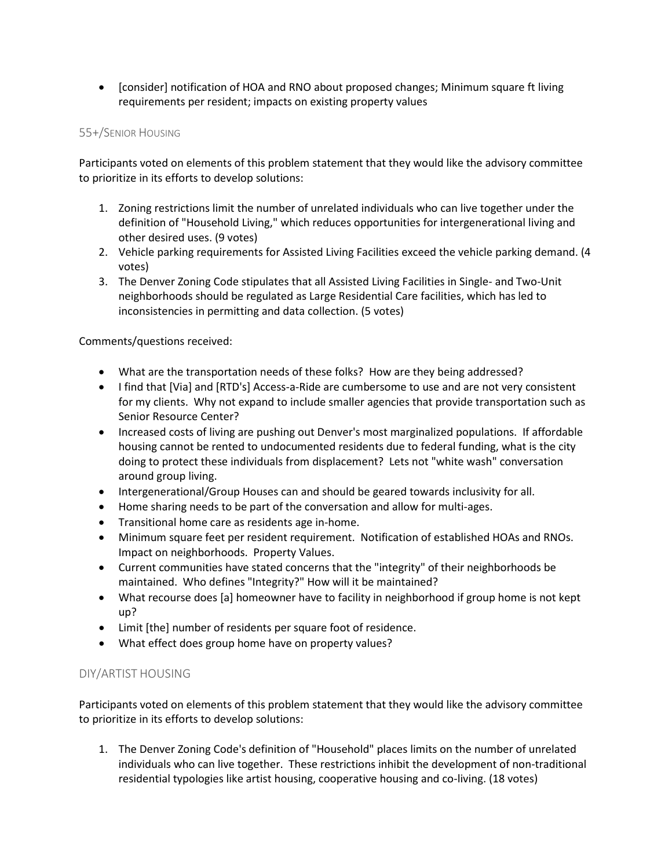• [consider] notification of HOA and RNO about proposed changes; Minimum square ft living requirements per resident; impacts on existing property values

#### 55+/SENIOR HOUSING

Participants voted on elements of this problem statement that they would like the advisory committee to prioritize in its efforts to develop solutions:

- 1. Zoning restrictions limit the number of unrelated individuals who can live together under the definition of "Household Living," which reduces opportunities for intergenerational living and other desired uses. (9 votes)
- 2. Vehicle parking requirements for Assisted Living Facilities exceed the vehicle parking demand. (4 votes)
- 3. The Denver Zoning Code stipulates that all Assisted Living Facilities in Single- and Two-Unit neighborhoods should be regulated as Large Residential Care facilities, which has led to inconsistencies in permitting and data collection. (5 votes)

Comments/questions received:

- What are the transportation needs of these folks? How are they being addressed?
- I find that [Via] and [RTD's] Access-a-Ride are cumbersome to use and are not very consistent for my clients. Why not expand to include smaller agencies that provide transportation such as Senior Resource Center?
- Increased costs of living are pushing out Denver's most marginalized populations. If affordable housing cannot be rented to undocumented residents due to federal funding, what is the city doing to protect these individuals from displacement? Lets not "white wash" conversation around group living.
- Intergenerational/Group Houses can and should be geared towards inclusivity for all.
- Home sharing needs to be part of the conversation and allow for multi-ages.
- Transitional home care as residents age in-home.
- Minimum square feet per resident requirement. Notification of established HOAs and RNOs. Impact on neighborhoods. Property Values.
- Current communities have stated concerns that the "integrity" of their neighborhoods be maintained. Who defines "Integrity?" How will it be maintained?
- What recourse does [a] homeowner have to facility in neighborhood if group home is not kept up?
- Limit [the] number of residents per square foot of residence.
- What effect does group home have on property values?

### DIY/ARTIST HOUSING

Participants voted on elements of this problem statement that they would like the advisory committee to prioritize in its efforts to develop solutions:

1. The Denver Zoning Code's definition of "Household" places limits on the number of unrelated individuals who can live together. These restrictions inhibit the development of non-traditional residential typologies like artist housing, cooperative housing and co-living. (18 votes)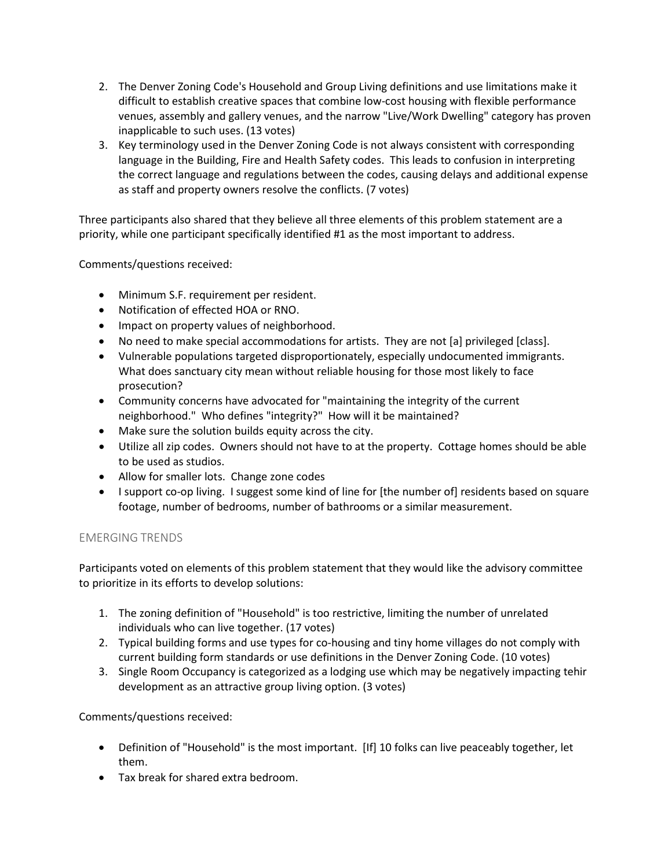- 2. The Denver Zoning Code's Household and Group Living definitions and use limitations make it difficult to establish creative spaces that combine low-cost housing with flexible performance venues, assembly and gallery venues, and the narrow "Live/Work Dwelling" category has proven inapplicable to such uses. (13 votes)
- 3. Key terminology used in the Denver Zoning Code is not always consistent with corresponding language in the Building, Fire and Health Safety codes. This leads to confusion in interpreting the correct language and regulations between the codes, causing delays and additional expense as staff and property owners resolve the conflicts. (7 votes)

Three participants also shared that they believe all three elements of this problem statement are a priority, while one participant specifically identified #1 as the most important to address.

Comments/questions received:

- Minimum S.F. requirement per resident.
- Notification of effected HOA or RNO.
- Impact on property values of neighborhood.
- No need to make special accommodations for artists. They are not [a] privileged [class].
- Vulnerable populations targeted disproportionately, especially undocumented immigrants. What does sanctuary city mean without reliable housing for those most likely to face prosecution?
- Community concerns have advocated for "maintaining the integrity of the current neighborhood." Who defines "integrity?" How will it be maintained?
- Make sure the solution builds equity across the city.
- Utilize all zip codes. Owners should not have to at the property. Cottage homes should be able to be used as studios.
- Allow for smaller lots. Change zone codes
- I support co-op living. I suggest some kind of line for [the number of] residents based on square footage, number of bedrooms, number of bathrooms or a similar measurement.

#### EMERGING TRENDS

Participants voted on elements of this problem statement that they would like the advisory committee to prioritize in its efforts to develop solutions:

- 1. The zoning definition of "Household" is too restrictive, limiting the number of unrelated individuals who can live together. (17 votes)
- 2. Typical building forms and use types for co-housing and tiny home villages do not comply with current building form standards or use definitions in the Denver Zoning Code. (10 votes)
- 3. Single Room Occupancy is categorized as a lodging use which may be negatively impacting tehir development as an attractive group living option. (3 votes)

Comments/questions received:

- Definition of "Household" is the most important. [If] 10 folks can live peaceably together, let them.
- Tax break for shared extra bedroom.